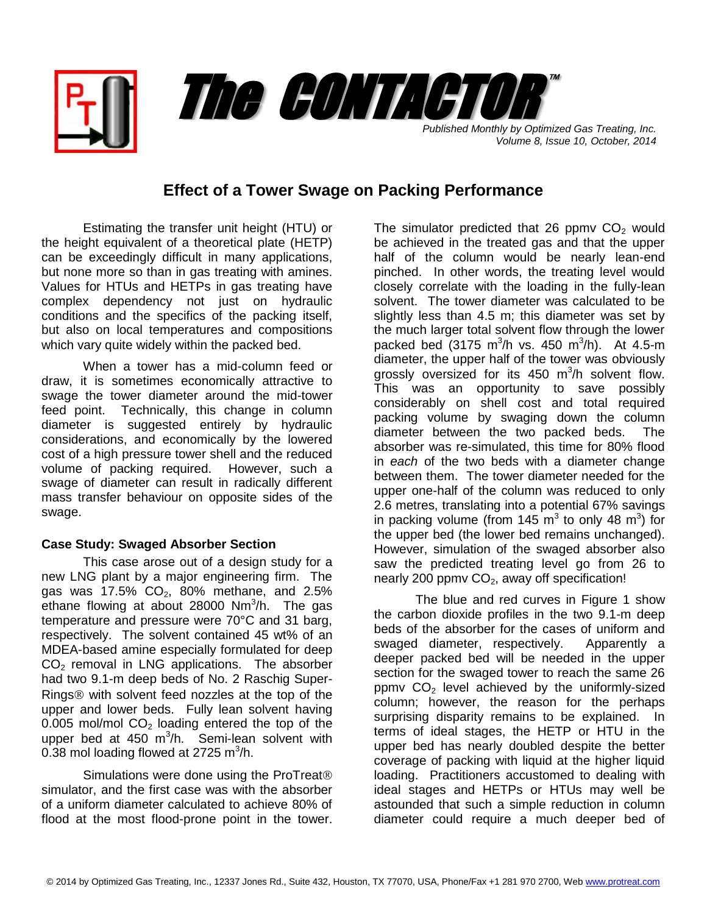

*Volume 8, Issue 10, October, 2014*

## **Effect of a Tower Swage on Packing Performance**

Estimating the transfer unit height (HTU) or the height equivalent of a theoretical plate (HETP) can be exceedingly difficult in many applications, but none more so than in gas treating with amines. Values for HTUs and HETPs in gas treating have complex dependency not just on hydraulic conditions and the specifics of the packing itself, but also on local temperatures and compositions which vary quite widely within the packed bed.

When a tower has a mid-column feed or draw, it is sometimes economically attractive to swage the tower diameter around the mid-tower feed point. Technically, this change in column diameter is suggested entirely by hydraulic considerations, and economically by the lowered cost of a high pressure tower shell and the reduced volume of packing required. However, such a swage of diameter can result in radically different mass transfer behaviour on opposite sides of the swage.

## **Case Study: Swaged Absorber Section**

This case arose out of a design study for a new LNG plant by a major engineering firm. The gas was  $17.5\%$  CO<sub>2</sub>, 80% methane, and 2.5% ethane flowing at about 28000 Nm<sup>3</sup>/h. The gas temperature and pressure were 70°C and 31 barg, respectively. The solvent contained 45 wt% of an MDEA-based amine especially formulated for deep  $CO<sub>2</sub>$  removal in LNG applications. The absorber had two 9.1-m deep beds of No. 2 Raschig Super-Rings $$\otimes$  with solvent feed nozzles at the top of the$ upper and lower beds. Fully lean solvent having  $0.005$  mol/mol  $CO<sub>2</sub>$  loading entered the top of the upper bed at 450 m<sup>3</sup>/h. Semi-lean solvent with  $0.38$  mol loading flowed at 2725 m $^3$ /h.

Simulations were done using the ProTreat simulator, and the first case was with the absorber of a uniform diameter calculated to achieve 80% of flood at the most flood-prone point in the tower. The simulator predicted that 26 ppmv  $CO<sub>2</sub>$  would be achieved in the treated gas and that the upper half of the column would be nearly lean-end pinched. In other words, the treating level would closely correlate with the loading in the fully-lean solvent. The tower diameter was calculated to be slightly less than 4.5 m; this diameter was set by the much larger total solvent flow through the lower packed bed (3175 m<sup>3</sup>/h vs. 450 m<sup>3</sup>/h). At 4.5-m diameter, the upper half of the tower was obviously grossly oversized for its  $450 \, \text{m}^3/\text{h}$  solvent flow. This was an opportunity to save possibly considerably on shell cost and total required packing volume by swaging down the column diameter between the two packed beds. The absorber was re-simulated, this time for 80% flood in *each* of the two beds with a diameter change between them. The tower diameter needed for the upper one-half of the column was reduced to only 2.6 metres, translating into a potential 67% savings in packing volume (from 145  $\text{m}^3$  to only 48  $\text{m}^3$ ) for the upper bed (the lower bed remains unchanged). However, simulation of the swaged absorber also saw the predicted treating level go from 26 to nearly 200 ppmv  $CO<sub>2</sub>$ , away off specification!

The blue and red curves in Figure 1 show the carbon dioxide profiles in the two 9.1-m deep beds of the absorber for the cases of uniform and swaged diameter, respectively. Apparently a deeper packed bed will be needed in the upper section for the swaged tower to reach the same 26 ppmv  $CO<sub>2</sub>$  level achieved by the uniformly-sized column; however, the reason for the perhaps surprising disparity remains to be explained. In terms of ideal stages, the HETP or HTU in the upper bed has nearly doubled despite the better coverage of packing with liquid at the higher liquid loading. Practitioners accustomed to dealing with ideal stages and HETPs or HTUs may well be astounded that such a simple reduction in column diameter could require a much deeper bed of